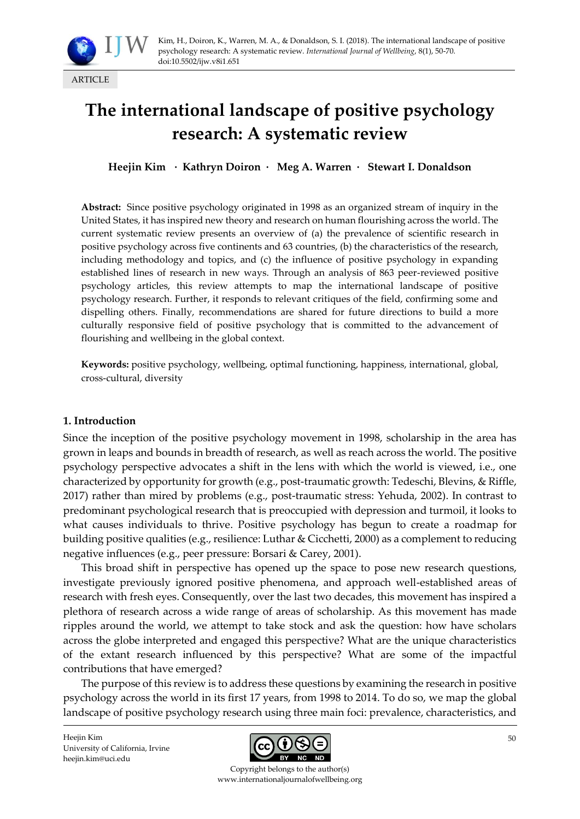

# **The international landscape of positive psychology research: A systematic review**

**Heejin Kim · Kathryn Doiron · Meg A. Warren · Stewart I. Donaldson**

**Abstract:** Since positive psychology originated in 1998 as an organized stream of inquiry in the United States, it has inspired new theory and research on human flourishing across the world. The current systematic review presents an overview of (a) the prevalence of scientific research in positive psychology across five continents and 63 countries, (b) the characteristics of the research, including methodology and topics, and (c) the influence of positive psychology in expanding established lines of research in new ways. Through an analysis of 863 peer-reviewed positive psychology articles, this review attempts to map the international landscape of positive psychology research. Further, it responds to relevant critiques of the field, confirming some and dispelling others. Finally, recommendations are shared for future directions to build a more culturally responsive field of positive psychology that is committed to the advancement of flourishing and wellbeing in the global context.

**Keywords:** positive psychology, wellbeing, optimal functioning, happiness, international, global, cross-cultural, diversity

#### **1. Introduction**

Since the inception of the positive psychology movement in 1998, scholarship in the area has grown in leaps and bounds in breadth of research, as well as reach across the world. The positive psychology perspective advocates a shift in the lens with which the world is viewed, i.e., one characterized by opportunity for growth (e.g., post-traumatic growth: Tedeschi, Blevins, & Riffle, 2017) rather than mired by problems (e.g., post-traumatic stress: Yehuda, 2002). In contrast to predominant psychological research that is preoccupied with depression and turmoil, it looks to what causes individuals to thrive. Positive psychology has begun to create a roadmap for building positive qualities (e.g., resilience: Luthar & Cicchetti, 2000) as a complement to reducing negative influences (e.g., peer pressure: Borsari & Carey, 2001).

This broad shift in perspective has opened up the space to pose new research questions, investigate previously ignored positive phenomena, and approach well-established areas of research with fresh eyes. Consequently, over the last two decades, this movement has inspired a plethora of research across a wide range of areas of scholarship. As this movement has made ripples around the world, we attempt to take stock and ask the question: how have scholars across the globe interpreted and engaged this perspective? What are the unique characteristics of the extant research influenced by this perspective? What are some of the impactful contributions that have emerged?

The purpose of this review is to address these questions by examining the research in positive psychology across the world in its first 17 years, from 1998 to 2014. To do so, we map the global landscape of positive psychology research using three main foci: prevalence, characteristics, and

Heejin Kim University of California, Irvine heejin.kim@uci.edu



Copyright belongs to the author(s) www.internationaljournalofwellbeing.org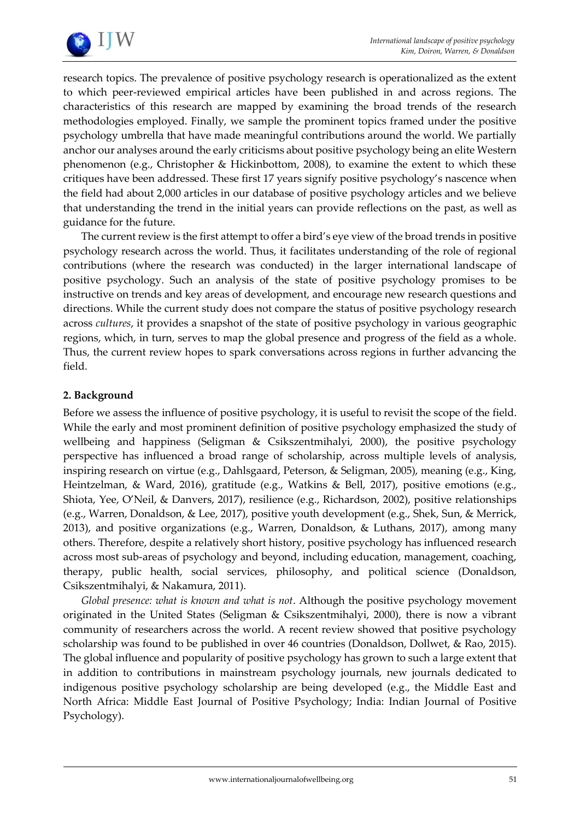

research topics. The prevalence of positive psychology research is operationalized as the extent to which peer-reviewed empirical articles have been published in and across regions. The characteristics of this research are mapped by examining the broad trends of the research methodologies employed. Finally, we sample the prominent topics framed under the positive psychology umbrella that have made meaningful contributions around the world. We partially anchor our analyses around the early criticisms about positive psychology being an elite Western phenomenon (e.g., Christopher & Hickinbottom, 2008), to examine the extent to which these critiques have been addressed. These first 17 years signify positive psychology's nascence when the field had about 2,000 articles in our database of positive psychology articles and we believe that understanding the trend in the initial years can provide reflections on the past, as well as guidance for the future.

The current review is the first attempt to offer a bird's eye view of the broad trends in positive psychology research across the world. Thus, it facilitates understanding of the role of regional contributions (where the research was conducted) in the larger international landscape of positive psychology. Such an analysis of the state of positive psychology promises to be instructive on trends and key areas of development, and encourage new research questions and directions. While the current study does not compare the status of positive psychology research across *cultures*, it provides a snapshot of the state of positive psychology in various geographic regions, which, in turn, serves to map the global presence and progress of the field as a whole. Thus, the current review hopes to spark conversations across regions in further advancing the field.

#### **2. Background**

Before we assess the influence of positive psychology, it is useful to revisit the scope of the field. While the early and most prominent definition of positive psychology emphasized the study of wellbeing and happiness (Seligman & Csikszentmihalyi, 2000), the positive psychology perspective has influenced a broad range of scholarship, across multiple levels of analysis, inspiring research on virtue (e.g., Dahlsgaard, Peterson, & Seligman, 2005), meaning (e.g., King, Heintzelman, & Ward, 2016), gratitude (e.g., Watkins & Bell, 2017), positive emotions (e.g., Shiota, Yee, O'Neil, & Danvers, 2017), resilience (e.g., Richardson, 2002), positive relationships (e.g., Warren, Donaldson, & Lee, 2017), positive youth development (e.g., Shek, Sun, & Merrick, 2013), and positive organizations (e.g., Warren, Donaldson, & Luthans, 2017), among many others. Therefore, despite a relatively short history, positive psychology has influenced research across most sub-areas of psychology and beyond, including education, management, coaching, therapy, public health, social services, philosophy, and political science (Donaldson, Csikszentmihalyi, & Nakamura, 2011).

*Global presence: what is known and what is not*. Although the positive psychology movement originated in the United States (Seligman & Csikszentmihalyi, 2000), there is now a vibrant community of researchers across the world. A recent review showed that positive psychology scholarship was found to be published in over 46 countries (Donaldson, Dollwet, & Rao, 2015). The global influence and popularity of positive psychology has grown to such a large extent that in addition to contributions in mainstream psychology journals, new journals dedicated to indigenous positive psychology scholarship are being developed (e.g., the Middle East and North Africa: Middle East Journal of Positive Psychology; India: Indian Journal of Positive Psychology).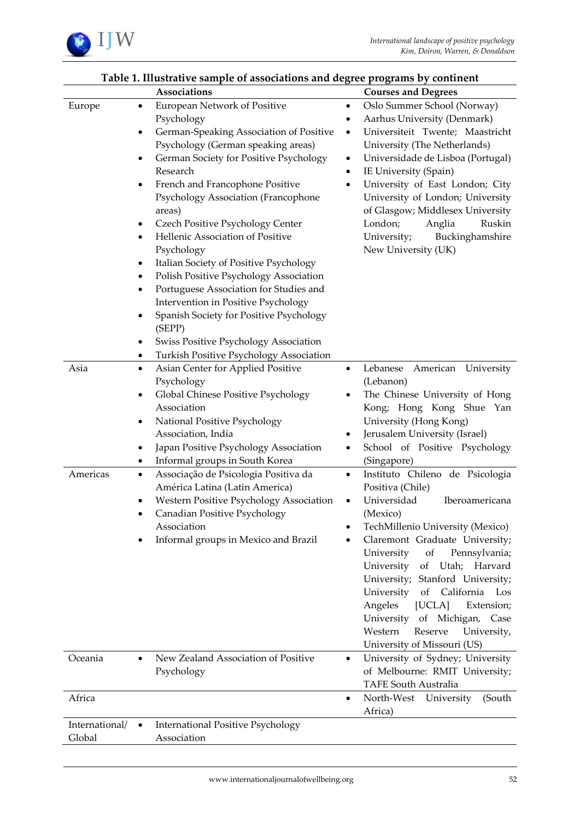

|                          |                                                                                                                     | Associations                                                                                                                                                                                                                                                                                                                                                                                                                                                                                                                                                                                                                                                              |                                            | <b>Courses and Degrees</b>                                                                                                                                                                                                                                                                                                                                                                     |
|--------------------------|---------------------------------------------------------------------------------------------------------------------|---------------------------------------------------------------------------------------------------------------------------------------------------------------------------------------------------------------------------------------------------------------------------------------------------------------------------------------------------------------------------------------------------------------------------------------------------------------------------------------------------------------------------------------------------------------------------------------------------------------------------------------------------------------------------|--------------------------------------------|------------------------------------------------------------------------------------------------------------------------------------------------------------------------------------------------------------------------------------------------------------------------------------------------------------------------------------------------------------------------------------------------|
| Europe                   | $\bullet$<br>$\bullet$<br>$\bullet$<br>$\bullet$<br>٠<br>$\bullet$<br>$\bullet$<br>٠<br>$\bullet$<br>$\bullet$<br>٠ | European Network of Positive<br>Psychology<br>German-Speaking Association of Positive<br>Psychology (German speaking areas)<br>German Society for Positive Psychology<br>Research<br>French and Francophone Positive<br>Psychology Association (Francophone<br>areas)<br>Czech Positive Psychology Center<br>Hellenic Association of Positive<br>Psychology<br>Italian Society of Positive Psychology<br>Polish Positive Psychology Association<br>Portuguese Association for Studies and<br>Intervention in Positive Psychology<br>Spanish Society for Positive Psychology<br>(SEPP)<br>Swiss Positive Psychology Association<br>Turkish Positive Psychology Association | ٠<br>٠<br>$\bullet$<br>$\bullet$<br>٠<br>٠ | Oslo Summer School (Norway)<br>Aarhus University (Denmark)<br>Universiteit Twente; Maastricht<br>University (The Netherlands)<br>Universidade de Lisboa (Portugal)<br>IE University (Spain)<br>University of East London; City<br>University of London; University<br>of Glasgow; Middlesex University<br>London;<br>Anglia<br>Ruskin<br>University;<br>Buckinghamshire<br>New University (UK) |
| Asia<br>Americas         | $\bullet$<br>٠<br>$\bullet$<br>$\bullet$<br>٠<br>$\bullet$<br>٠                                                     | Asian Center for Applied Positive<br>Psychology<br>Global Chinese Positive Psychology<br>Association<br>National Positive Psychology<br>Association, India<br>Japan Positive Psychology Association<br>Informal groups in South Korea<br>Associação de Psicologia Positiva da<br>América Latina (Latin America)<br>Western Positive Psychology Association<br>Canadian Positive Psychology<br>Association                                                                                                                                                                                                                                                                 | $\bullet$<br>٠<br>$\bullet$<br>٠           | Lebanese<br>American<br>University<br>(Lebanon)<br>The Chinese University of Hong<br>Kong; Hong Kong Shue Yan<br>University (Hong Kong)<br>Jerusalem University (Israel)<br>School of Positive Psychology<br>(Singapore)<br>Instituto Chileno de Psicologia<br>Positiva (Chile)<br>Universidad<br>Iberoamericana<br>(Mexico)<br>TechMillenio University (Mexico)                               |
|                          |                                                                                                                     | Informal groups in Mexico and Brazil                                                                                                                                                                                                                                                                                                                                                                                                                                                                                                                                                                                                                                      |                                            | Claremont Graduate University;<br>University<br>Pennsylvania;<br>of<br>University<br>of Utah; Harvard<br>University; Stanford University;<br>University<br>of California Los<br>Angeles<br>[UCLA]<br>Extension;<br>University<br>of Michigan,<br>Case<br>Western<br>Reserve<br>University,<br>University of Missouri (US)                                                                      |
| Oceania                  | $\bullet$                                                                                                           | New Zealand Association of Positive<br>Psychology                                                                                                                                                                                                                                                                                                                                                                                                                                                                                                                                                                                                                         | ٠                                          | University of Sydney; University<br>of Melbourne: RMIT University;<br><b>TAFE South Australia</b>                                                                                                                                                                                                                                                                                              |
| Africa                   |                                                                                                                     |                                                                                                                                                                                                                                                                                                                                                                                                                                                                                                                                                                                                                                                                           | ٠                                          | North-West University<br>(South<br>Africa)                                                                                                                                                                                                                                                                                                                                                     |
| International/<br>Global | $\bullet$                                                                                                           | <b>International Positive Psychology</b><br>Association                                                                                                                                                                                                                                                                                                                                                                                                                                                                                                                                                                                                                   |                                            |                                                                                                                                                                                                                                                                                                                                                                                                |

# **Table 1. Illustrative sample of associations and degree programs by continent**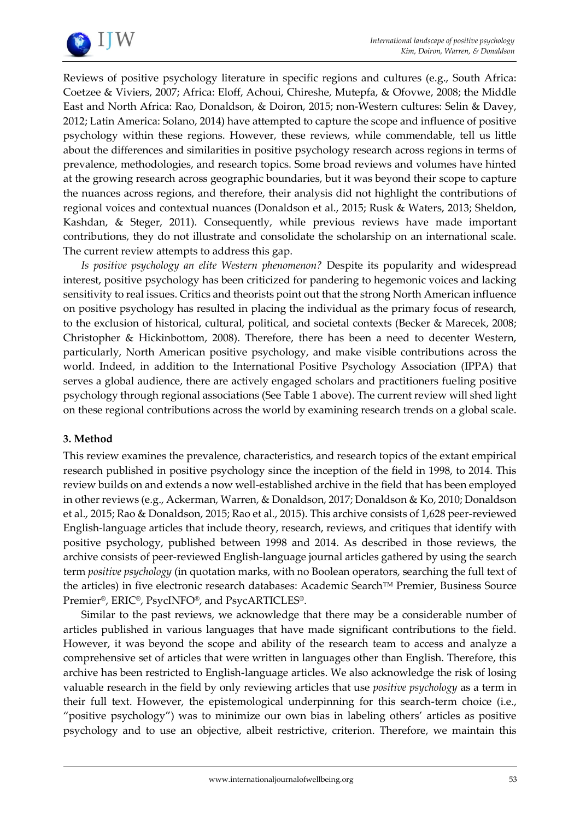

Reviews of positive psychology literature in specific regions and cultures (e.g., South Africa: Coetzee & Viviers, 2007; Africa: Eloff, Achoui, Chireshe, Mutepfa, & Ofovwe, 2008; the Middle East and North Africa: Rao, Donaldson, & Doiron, 2015; non-Western cultures: Selin & Davey, 2012; Latin America: Solano, 2014) have attempted to capture the scope and influence of positive psychology within these regions. However, these reviews, while commendable, tell us little about the differences and similarities in positive psychology research across regions in terms of prevalence, methodologies, and research topics. Some broad reviews and volumes have hinted at the growing research across geographic boundaries, but it was beyond their scope to capture the nuances across regions, and therefore, their analysis did not highlight the contributions of regional voices and contextual nuances (Donaldson et al., 2015; Rusk & Waters, 2013; Sheldon, Kashdan, & Steger, 2011). Consequently, while previous reviews have made important contributions, they do not illustrate and consolidate the scholarship on an international scale. The current review attempts to address this gap.

*Is positive psychology an elite Western phenomenon?* Despite its popularity and widespread interest, positive psychology has been criticized for pandering to hegemonic voices and lacking sensitivity to real issues. Critics and theorists point out that the strong North American influence on positive psychology has resulted in placing the individual as the primary focus of research, to the exclusion of historical, cultural, political, and societal contexts (Becker & Marecek, 2008; Christopher & Hickinbottom, 2008). Therefore, there has been a need to decenter Western, particularly, North American positive psychology, and make visible contributions across the world. Indeed, in addition to the International Positive Psychology Association (IPPA) that serves a global audience, there are actively engaged scholars and practitioners fueling positive psychology through regional associations (See Table 1 above). The current review will shed light on these regional contributions across the world by examining research trends on a global scale.

#### **3. Method**

This review examines the prevalence, characteristics, and research topics of the extant empirical research published in positive psychology since the inception of the field in 1998, to 2014. This review builds on and extends a now well-established archive in the field that has been employed in other reviews (e.g., Ackerman, Warren, & Donaldson, 2017; Donaldson & Ko, 2010; Donaldson et al., 2015; Rao & Donaldson, 2015; Rao et al., 2015). This archive consists of 1,628 peer-reviewed English-language articles that include theory, research, reviews, and critiques that identify with positive psychology, published between 1998 and 2014. As described in those reviews, the archive consists of peer-reviewed English-language journal articles gathered by using the search term *positive psychology* (in quotation marks, with no Boolean operators, searching the full text of the articles) in five electronic research databases: Academic Search™ Premier, Business Source Premier®, ERIC®, PsycINFO®, and PsycARTICLES®.

Similar to the past reviews, we acknowledge that there may be a considerable number of articles published in various languages that have made significant contributions to the field. However, it was beyond the scope and ability of the research team to access and analyze a comprehensive set of articles that were written in languages other than English. Therefore, this archive has been restricted to English-language articles. We also acknowledge the risk of losing valuable research in the field by only reviewing articles that use *positive psychology* as a term in their full text. However, the epistemological underpinning for this search-term choice (i.e., "positive psychology") was to minimize our own bias in labeling others' articles as positive psychology and to use an objective, albeit restrictive, criterion. Therefore, we maintain this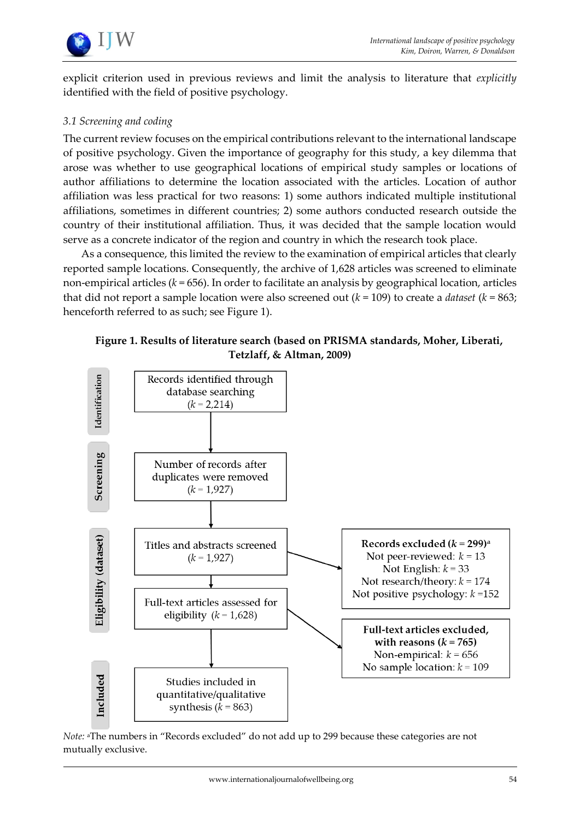

explicit criterion used in previous reviews and limit the analysis to literature that *explicitly* identified with the field of positive psychology.

#### *3.1 Screening and coding*

The current review focuses on the empirical contributions relevant to the international landscape of positive psychology. Given the importance of geography for this study, a key dilemma that arose was whether to use geographical locations of empirical study samples or locations of author affiliations to determine the location associated with the articles. Location of author affiliation was less practical for two reasons: 1) some authors indicated multiple institutional affiliations, sometimes in different countries; 2) some authors conducted research outside the country of their institutional affiliation. Thus, it was decided that the sample location would serve as a concrete indicator of the region and country in which the research took place.

As a consequence, this limited the review to the examination of empirical articles that clearly reported sample locations. Consequently, the archive of 1,628 articles was screened to eliminate non-empirical articles (*k* = 656). In order to facilitate an analysis by geographical location, articles that did not report a sample location were also screened out (*k* = 109) to create a *dataset* (*k* = 863; henceforth referred to as such; see Figure 1).

## **Figure 1. Results of literature search (based on PRISMA standards, Moher, Liberati, Tetzlaff, & Altman, 2009)**



*Note:* aThe numbers in "Records excluded" do not add up to 299 because these categories are not mutually exclusive.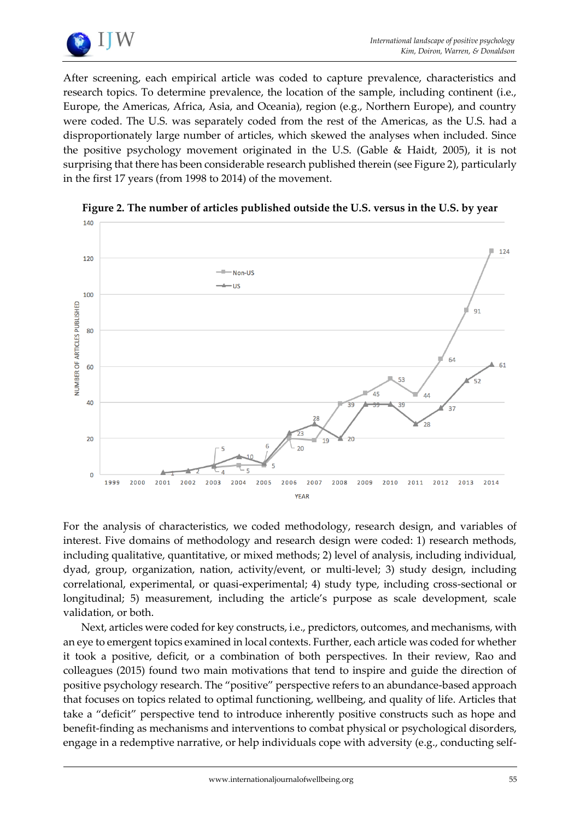

After screening, each empirical article was coded to capture prevalence, characteristics and research topics. To determine prevalence, the location of the sample, including continent (i.e., Europe, the Americas, Africa, Asia, and Oceania), region (e.g., Northern Europe), and country were coded. The U.S. was separately coded from the rest of the Americas, as the U.S. had a disproportionately large number of articles, which skewed the analyses when included. Since the positive psychology movement originated in the U.S. (Gable & Haidt, 2005), it is not surprising that there has been considerable research published therein (see Figure 2), particularly in the first 17 years (from 1998 to 2014) of the movement.



**Figure 2. The number of articles published outside the U.S. versus in the U.S. by year**

For the analysis of characteristics, we coded methodology, research design, and variables of interest. Five domains of methodology and research design were coded: 1) research methods, including qualitative, quantitative, or mixed methods; 2) level of analysis, including individual, dyad, group, organization, nation, activity/event, or multi-level; 3) study design, including correlational, experimental, or quasi-experimental; 4) study type, including cross-sectional or longitudinal; 5) measurement, including the article's purpose as scale development, scale validation, or both.

Next, articles were coded for key constructs, i.e., predictors, outcomes, and mechanisms, with an eye to emergent topics examined in local contexts. Further, each article was coded for whether it took a positive, deficit, or a combination of both perspectives. In their review, Rao and colleagues (2015) found two main motivations that tend to inspire and guide the direction of positive psychology research. The "positive" perspective refers to an abundance-based approach that focuses on topics related to optimal functioning, wellbeing, and quality of life. Articles that take a "deficit" perspective tend to introduce inherently positive constructs such as hope and benefit-finding as mechanisms and interventions to combat physical or psychological disorders, engage in a redemptive narrative, or help individuals cope with adversity (e.g., conducting self-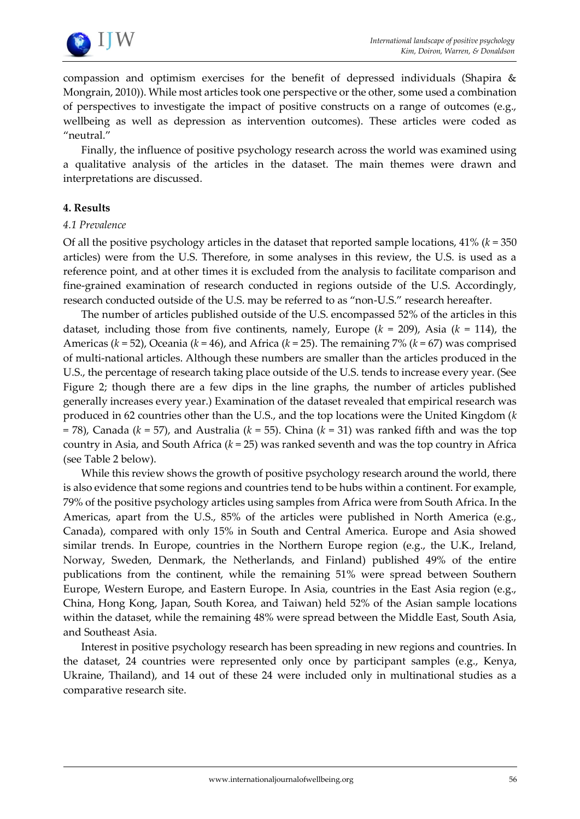

compassion and optimism exercises for the benefit of depressed individuals (Shapira & Mongrain, 2010)). While most articles took one perspective or the other, some used a combination of perspectives to investigate the impact of positive constructs on a range of outcomes (e.g., wellbeing as well as depression as intervention outcomes). These articles were coded as "neutral."

Finally, the influence of positive psychology research across the world was examined using a qualitative analysis of the articles in the dataset. The main themes were drawn and interpretations are discussed.

#### **4. Results**

#### *4.1 Prevalence*

Of all the positive psychology articles in the dataset that reported sample locations,  $41\%$  ( $k = 350$ ) articles) were from the U.S. Therefore, in some analyses in this review, the U.S. is used as a reference point, and at other times it is excluded from the analysis to facilitate comparison and fine-grained examination of research conducted in regions outside of the U.S. Accordingly, research conducted outside of the U.S. may be referred to as "non-U.S." research hereafter.

The number of articles published outside of the U.S. encompassed 52% of the articles in this dataset, including those from five continents, namely, Europe  $(k = 209)$ , Asia  $(k = 114)$ , the Americas (*k* = 52), Oceania (*k* = 46), and Africa (*k* = 25). The remaining 7% (*k* = 67) was comprised of multi-national articles. Although these numbers are smaller than the articles produced in the U.S., the percentage of research taking place outside of the U.S. tends to increase every year. (See Figure 2; though there are a few dips in the line graphs, the number of articles published generally increases every year.) Examination of the dataset revealed that empirical research was produced in 62 countries other than the U.S., and the top locations were the United Kingdom (*k* = 78), Canada (*k* = 57), and Australia (*k* = 55). China (*k* = 31) was ranked fifth and was the top country in Asia, and South Africa (*k* = 25) was ranked seventh and was the top country in Africa (see Table 2 below).

While this review shows the growth of positive psychology research around the world, there is also evidence that some regions and countries tend to be hubs within a continent. For example, 79% of the positive psychology articles using samples from Africa were from South Africa. In the Americas, apart from the U.S., 85% of the articles were published in North America (e.g., Canada), compared with only 15% in South and Central America. Europe and Asia showed similar trends. In Europe, countries in the Northern Europe region (e.g., the U.K., Ireland, Norway, Sweden, Denmark, the Netherlands, and Finland) published 49% of the entire publications from the continent, while the remaining 51% were spread between Southern Europe, Western Europe, and Eastern Europe. In Asia, countries in the East Asia region (e.g., China, Hong Kong, Japan, South Korea, and Taiwan) held 52% of the Asian sample locations within the dataset, while the remaining 48% were spread between the Middle East, South Asia, and Southeast Asia.

Interest in positive psychology research has been spreading in new regions and countries. In the dataset, 24 countries were represented only once by participant samples (e.g., Kenya, Ukraine, Thailand), and 14 out of these 24 were included only in multinational studies as a comparative research site.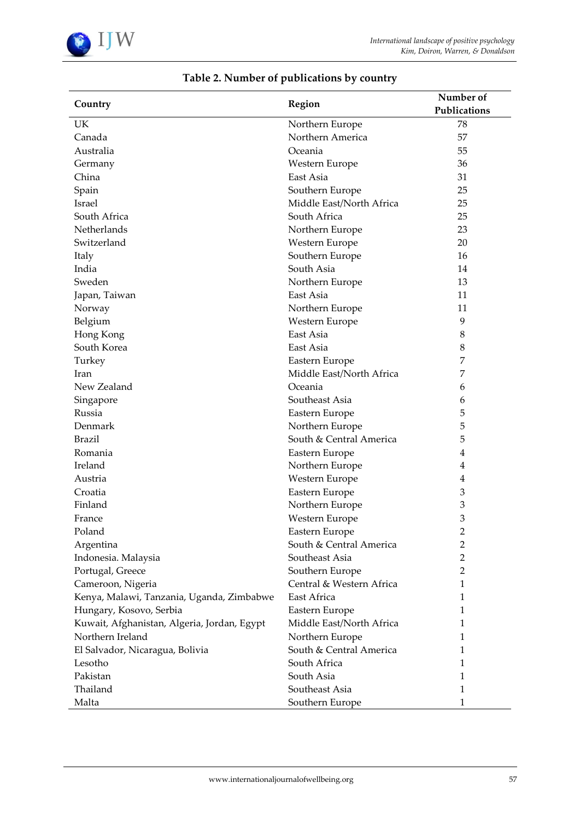

| Country                                     | Region                   | Number of      |
|---------------------------------------------|--------------------------|----------------|
|                                             |                          | Publications   |
| UK                                          | Northern Europe          | 78             |
| Canada                                      | Northern America         | 57             |
| Australia                                   | Oceania                  | 55             |
| Germany                                     | Western Europe           | 36             |
| China                                       | East Asia                | 31             |
| Spain                                       | Southern Europe          | 25             |
| Israel                                      | Middle East/North Africa | 25             |
| South Africa                                | South Africa             | 25             |
| Netherlands                                 | Northern Europe          | 23             |
| Switzerland                                 | Western Europe           | 20             |
| Italy                                       | Southern Europe          | 16             |
| India                                       | South Asia               | 14             |
| Sweden                                      | Northern Europe          | 13             |
| Japan, Taiwan                               | East Asia                | 11             |
| Norway                                      | Northern Europe          | 11             |
| Belgium                                     | Western Europe           | 9              |
| Hong Kong                                   | East Asia                | $\,8\,$        |
| South Korea                                 | East Asia                | 8              |
| Turkey                                      | Eastern Europe           | 7              |
| Iran                                        | Middle East/North Africa | 7              |
| New Zealand                                 | Oceania                  | 6              |
| Singapore                                   | Southeast Asia           | 6              |
| Russia                                      | Eastern Europe           | 5              |
| Denmark                                     | Northern Europe          | 5              |
| <b>Brazil</b>                               | South & Central America  | 5              |
| Romania                                     | Eastern Europe           | 4              |
| Ireland                                     | Northern Europe          | 4              |
| Austria                                     | Western Europe           | $\overline{4}$ |
| Croatia                                     | Eastern Europe           | 3              |
| Finland                                     | Northern Europe          | 3              |
| France                                      | Western Europe           | 3              |
| Poland                                      | Eastern Europe           | $\overline{c}$ |
| Argentina                                   | South & Central America  | 2              |
| Indonesia. Malaysia                         | Southeast Asia           | 2              |
| Portugal, Greece                            | Southern Europe          | 2              |
| Cameroon, Nigeria                           | Central & Western Africa | 1              |
| Kenya, Malawi, Tanzania, Uganda, Zimbabwe   | East Africa              | 1              |
| Hungary, Kosovo, Serbia                     | Eastern Europe           | 1              |
| Kuwait, Afghanistan, Algeria, Jordan, Egypt | Middle East/North Africa | 1              |
| Northern Ireland                            | Northern Europe          | 1              |
| El Salvador, Nicaragua, Bolivia             | South & Central America  | 1              |
| Lesotho                                     | South Africa             | 1              |
| Pakistan                                    | South Asia               | 1              |
| Thailand                                    | Southeast Asia           | 1              |
| Malta                                       | Southern Europe          | 1              |

# **Table 2. Number of publications by country**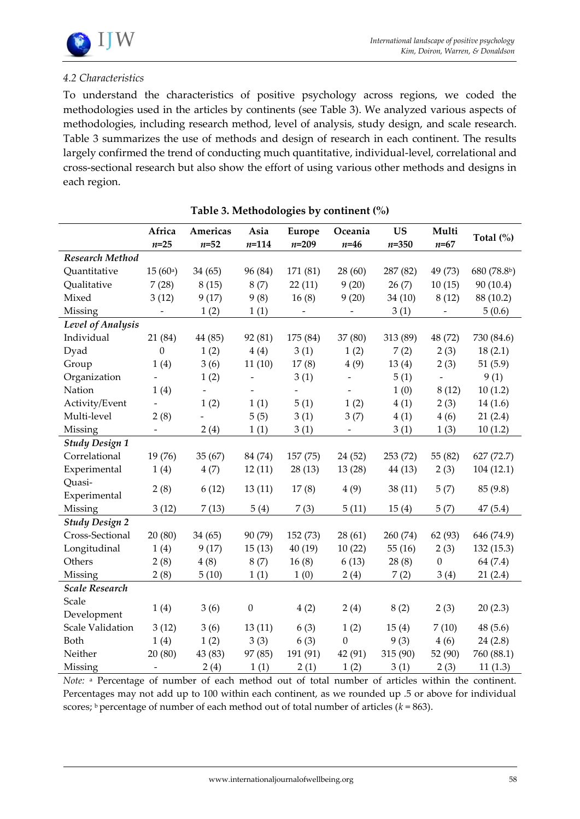

#### *4.2 Characteristics*

To understand the characteristics of positive psychology across regions, we coded the methodologies used in the articles by continents (see Table 3). We analyzed various aspects of methodologies, including research method, level of analysis, study design, and scale research. Table 3 summarizes the use of methods and design of research in each continent. The results largely confirmed the trend of conducting much quantitative, individual-level, correlational and cross-sectional research but also show the effort of using various other methods and designs in each region.

|                       | Africa<br>$n = 25$  | Americas<br>$n = 52$     | Asia<br>$n = 114$        | Europe<br>$n = 209$      | Oceania<br>$n=46$        | <b>US</b><br>$n = 350$ | Multi<br>$n = 67$        | Total (%)   |
|-----------------------|---------------------|--------------------------|--------------------------|--------------------------|--------------------------|------------------------|--------------------------|-------------|
| Research Method       |                     |                          |                          |                          |                          |                        |                          |             |
| Quantitative          | 15(60a)             | 34(65)                   | 96 (84)                  | 171 (81)                 | 28(60)                   | 287 (82)               | 49 (73)                  | 680 (78.8b) |
| Qualitative           | 7(28)               | 8(15)                    | 8(7)                     | 22(11)                   | 9(20)                    | 26(7)                  | 10(15)                   | 90(10.4)    |
| Mixed                 | 3(12)               | 9(17)                    | 9(8)                     | 16(8)                    | 9(20)                    | 34(10)                 | 8(12)                    | 88 (10.2)   |
| Missing               | $\equiv$            | 1(2)                     | 1(1)                     | $\overline{a}$           |                          | 3(1)                   | $\overline{\phantom{0}}$ | 5(0.6)      |
| Level of Analysis     |                     |                          |                          |                          |                          |                        |                          |             |
| Individual            | 21 (84)             | 44 (85)                  | 92 (81)                  | 175 (84)                 | 37 (80)                  | 313 (89)               | 48 (72)                  | 730 (84.6)  |
| Dyad                  | $\boldsymbol{0}$    | 1(2)                     | 4(4)                     | 3(1)                     | 1(2)                     | 7(2)                   | 2(3)                     | 18(2.1)     |
| Group                 | 1(4)                | 3(6)                     | 11(10)                   | 17(8)                    | 4(9)                     | 13(4)                  | 2(3)                     | 51(5.9)     |
| Organization          |                     | 1(2)                     | $\overline{\phantom{a}}$ | 3(1)                     | $\overline{\phantom{a}}$ | 5(1)                   | $\overline{\phantom{a}}$ | 9(1)        |
| Nation                | 1(4)                | $\overline{\phantom{a}}$ | $\overline{\phantom{a}}$ | $\overline{\phantom{a}}$ | $\overline{\phantom{a}}$ | 1(0)                   | 8(12)                    | 10(1.2)     |
| Activity/Event        |                     | 1(2)                     | 1(1)                     | 5(1)                     | 1(2)                     | 4(1)                   | 2(3)                     | 14(1.6)     |
| Multi-level           | 2(8)                |                          | 5(5)                     | 3(1)                     | 3(7)                     | 4(1)                   | 4(6)                     | 21(2.4)     |
| Missing               | $\bar{\phantom{a}}$ | 2(4)                     | 1(1)                     | 3(1)                     | $\equiv$                 | 3(1)                   | 1(3)                     | 10(1.2)     |
| <b>Study Design 1</b> |                     |                          |                          |                          |                          |                        |                          |             |
| Correlational         | 19 (76)             | 35(67)                   | 84 (74)                  | 157(75)                  | 24(52)                   | 253 (72)               | 55 (82)                  | 627 (72.7)  |
| Experimental          | 1(4)                | 4(7)                     | 12(11)                   | 28(13)                   | 13(28)                   | 44 (13)                | 2(3)                     | 104(12.1)   |
| Quasi-                | 2(8)                | 6(12)                    | 13(11)                   | 17(8)                    | 4(9)                     | 38(11)                 | 5(7)                     | 85 (9.8)    |
| Experimental          |                     |                          |                          |                          |                          |                        |                          |             |
| Missing               | 3(12)               | 7(13)                    | 5(4)                     | 7(3)                     | 5(11)                    | 15(4)                  | 5(7)                     | 47(5.4)     |
| <b>Study Design 2</b> |                     |                          |                          |                          |                          |                        |                          |             |
| Cross-Sectional       | 20(80)              | 34(65)                   | 90 (79)                  | 152 (73)                 | 28(61)                   | 260 (74)               | 62 (93)                  | 646 (74.9)  |
| Longitudinal          | 1(4)                | 9(17)                    | 15(13)                   | 40 (19)                  | 10(22)                   | 55(16)                 | 2(3)                     | 132 (15.3)  |
| Others                | 2(8)                | 4(8)                     | 8(7)                     | 16(8)                    | 6(13)                    | 28(8)                  | $\boldsymbol{0}$         | 64 (7.4)    |
| Missing               | 2(8)                | 5(10)                    | 1(1)                     | 1(0)                     | 2(4)                     | 7(2)                   | 3(4)                     | 21(2.4)     |
| <b>Scale Research</b> |                     |                          |                          |                          |                          |                        |                          |             |
| Scale                 | 1(4)                |                          | $\boldsymbol{0}$         | 4(2)                     |                          | 8(2)                   | 2(3)                     | 20(2.3)     |
| Development           |                     | 3(6)                     |                          |                          | 2(4)                     |                        |                          |             |
| Scale Validation      | 3(12)               | 3(6)                     | 13(11)                   | 6(3)                     | 1(2)                     | 15(4)                  | 7(10)                    | 48(5.6)     |
| Both                  | 1(4)                | 1(2)                     | 3(3)                     | 6(3)                     | $\boldsymbol{0}$         | 9(3)                   | 4(6)                     | 24(2.8)     |
| Neither               | 20(80)              | 43 (83)                  | 97 (85)                  | 191 (91)                 | 42 (91)                  | 315 (90)               | 52 (90)                  | 760 (88.1)  |
| Missing               | $\qquad \qquad -$   | 2(4)                     | 1(1)                     | 2(1)                     | 1(2)                     | 3(1)                   | 2(3)                     | 11(1.3)     |

| Table 3. Methodologies by continent (%) |  |
|-----------------------------------------|--|
|-----------------------------------------|--|

*Note:* a Percentage of number of each method out of total number of articles within the continent. Percentages may not add up to 100 within each continent, as we rounded up .5 or above for individual scores; b percentage of number of each method out of total number of articles ( $k = 863$ ).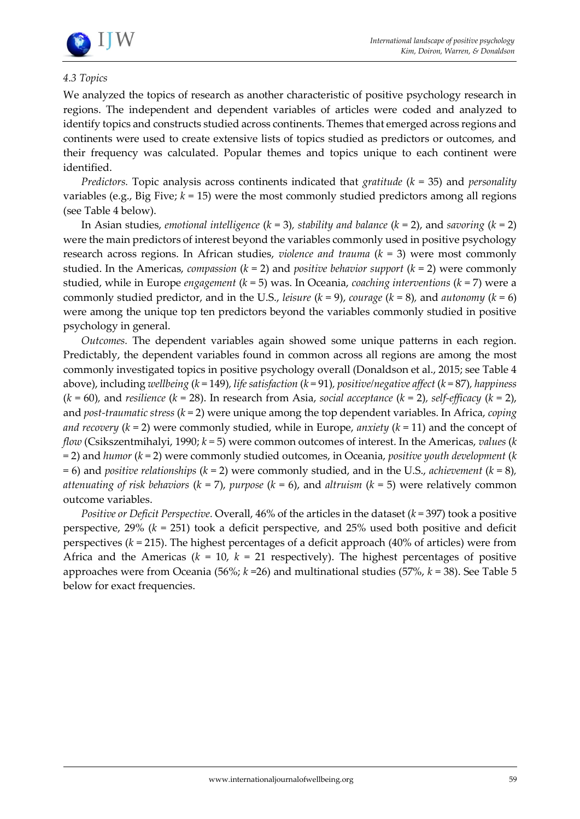

#### *4.3 Topics*

We analyzed the topics of research as another characteristic of positive psychology research in regions. The independent and dependent variables of articles were coded and analyzed to identify topics and constructs studied across continents. Themes that emerged across regions and continents were used to create extensive lists of topics studied as predictors or outcomes, and their frequency was calculated. Popular themes and topics unique to each continent were identified.

*Predictors.* Topic analysis across continents indicated that *gratitude* (*k* = 35) and *personality* variables (e.g., Big Five;  $k = 15$ ) were the most commonly studied predictors among all regions (see Table 4 below).

In Asian studies, *emotional intelligence*  $(k = 3)$ , *stability and balance*  $(k = 2)$ , and *savoring*  $(k = 2)$ were the main predictors of interest beyond the variables commonly used in positive psychology research across regions. In African studies, *violence and trauma* (*k* = 3) were most commonly studied. In the Americas, *compassion*  $(k = 2)$  and *positive behavior support*  $(k = 2)$  were commonly studied, while in Europe *engagement* (*k* = 5) was. In Oceania, *coaching interventions* (*k* = 7) were a commonly studied predictor, and in the U.S., *leisure* (*k* = 9), *courage* (*k* = 8)*,* and *autonomy* (*k* = 6) were among the unique top ten predictors beyond the variables commonly studied in positive psychology in general.

*Outcomes.* The dependent variables again showed some unique patterns in each region. Predictably, the dependent variables found in common across all regions are among the most commonly investigated topics in positive psychology overall (Donaldson et al., 2015; see Table 4 above), including *wellbeing* (*k* = 149)*, life satisfaction* (*k* = 91)*, positive/negative affect* (*k* = 87)*, happiness*  (*k* = 60)*,* and *resilience* (*k* = 28). In research from Asia, *social acceptance* (*k* = 2)*, self-efficacy* (*k* = 2), and *post-traumatic stress* (*k* = 2) were unique among the top dependent variables. In Africa, *coping and recovery* (*k* = 2) were commonly studied, while in Europe, *anxiety* (*k* = 11) and the concept of *flow* (Csikszentmihalyi, 1990; *k =* 5) were common outcomes of interest. In the Americas, *values* (*k*  = 2) and *humor* (*k* = 2) were commonly studied outcomes, in Oceania, *positive youth development* (*k*  = 6) and *positive relationships* (*k* = 2) were commonly studied, and in the U.S., *achievement* (*k* = 8)*, attenuating of risk behaviors* (*k* = 7), *purpose* (*k* = 6), and *altruism* (*k* = 5) were relatively common outcome variables.

*Positive or Deficit Perspective.* Overall, 46% of the articles in the dataset (*k* = 397) took a positive perspective, 29% (*k* = 251) took a deficit perspective, and 25% used both positive and deficit perspectives (*k* = 215). The highest percentages of a deficit approach (40% of articles) were from Africa and the Americas ( $k = 10$ ,  $k = 21$  respectively). The highest percentages of positive approaches were from Oceania (56%; *k* =26) and multinational studies (57%, *k* = 38). See Table 5 below for exact frequencies.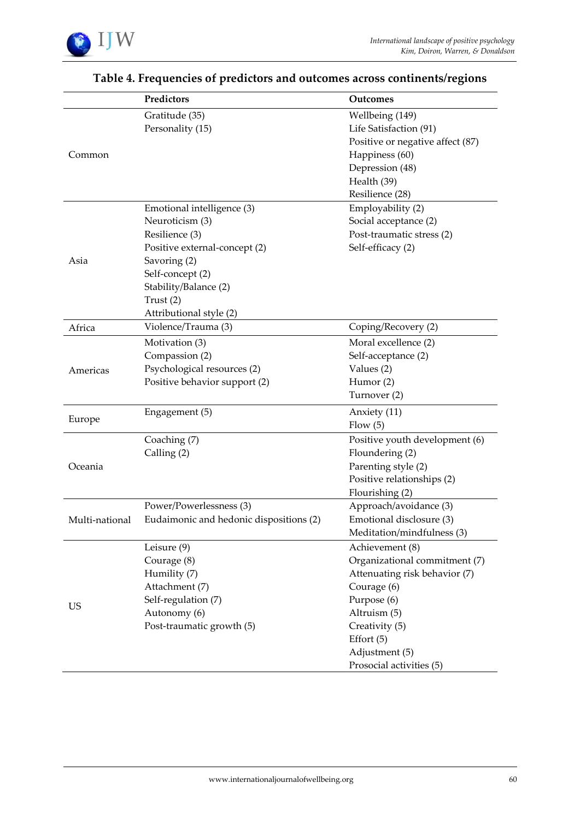

|                | Predictors                                                                                                                                                                                              | Outcomes                                                                                                                                                                                                        |
|----------------|---------------------------------------------------------------------------------------------------------------------------------------------------------------------------------------------------------|-----------------------------------------------------------------------------------------------------------------------------------------------------------------------------------------------------------------|
| Common         | Gratitude (35)<br>Personality (15)                                                                                                                                                                      | Wellbeing (149)<br>Life Satisfaction (91)<br>Positive or negative affect (87)<br>Happiness (60)<br>Depression (48)<br>Health (39)<br>Resilience (28)                                                            |
| Asia           | Emotional intelligence (3)<br>Neuroticism (3)<br>Resilience (3)<br>Positive external-concept (2)<br>Savoring (2)<br>Self-concept (2)<br>Stability/Balance (2)<br>Trust $(2)$<br>Attributional style (2) | Employability (2)<br>Social acceptance (2)<br>Post-traumatic stress (2)<br>Self-efficacy (2)                                                                                                                    |
| Africa         | Violence/Trauma (3)                                                                                                                                                                                     | Coping/Recovery (2)                                                                                                                                                                                             |
| Americas       | Motivation (3)<br>Compassion (2)<br>Psychological resources (2)<br>Positive behavior support (2)                                                                                                        | Moral excellence (2)<br>Self-acceptance (2)<br>Values (2)<br>Humor (2)<br>Turnover (2)                                                                                                                          |
| Europe         | Engagement (5)                                                                                                                                                                                          | Anxiety (11)<br>Flow(5)                                                                                                                                                                                         |
| Oceania        | Coaching (7)<br>Calling (2)                                                                                                                                                                             | Positive youth development (6)<br>Floundering (2)<br>Parenting style (2)<br>Positive relationships (2)<br>Flourishing (2)                                                                                       |
| Multi-national | Power/Powerlessness (3)<br>Eudaimonic and hedonic dispositions (2)                                                                                                                                      | Approach/avoidance (3)<br>Emotional disclosure (3)<br>Meditation/mindfulness (3)                                                                                                                                |
| <b>US</b>      | Leisure (9)<br>Courage (8)<br>Humility (7)<br>Attachment (7)<br>Self-regulation (7)<br>Autonomy (6)<br>Post-traumatic growth (5)                                                                        | Achievement (8)<br>Organizational commitment (7)<br>Attenuating risk behavior (7)<br>Courage (6)<br>Purpose (6)<br>Altruism (5)<br>Creativity (5)<br>Effort $(5)$<br>Adjustment (5)<br>Prosocial activities (5) |

# **Table 4. Frequencies of predictors and outcomes across continents/regions**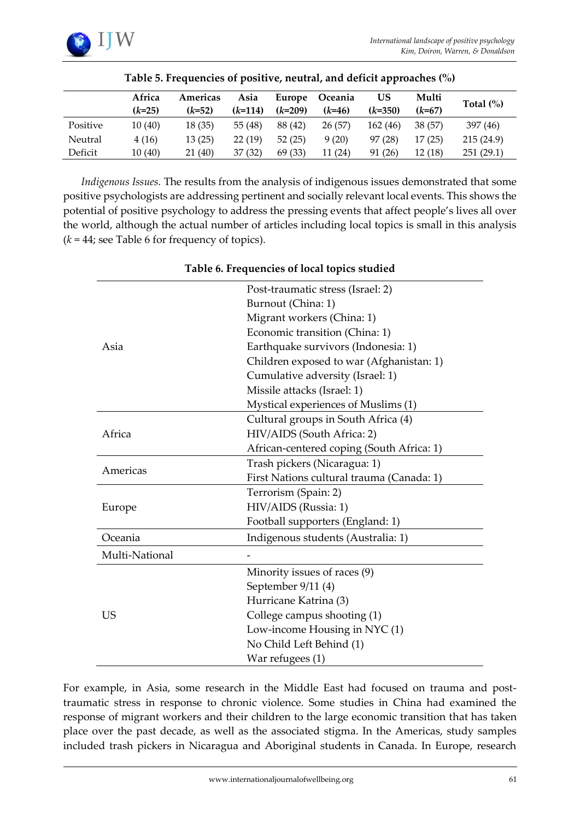|          | Africa   | Americas | Asia      | Europe    | Oceania  | US        | Multi    | Total $(\%)$ |
|----------|----------|----------|-----------|-----------|----------|-----------|----------|--------------|
|          | $(k=25)$ | $(k=52)$ | $(k=114)$ | $(k=209)$ | $(k=46)$ | $(k=350)$ | $(k=67)$ |              |
| Positive | 10(40)   | 18(35)   | 55(48)    | 88 (42)   | 26(57)   | 162 (46)  | 38 (57)  | 397 (46)     |
| Neutral  | 4 (16)   | 13(25)   | 22(19)    | 52(25)    | 9(20)    | 97(28)    | 17(25)   | 215(24.9)    |
| Deficit  | 10(40)   | 21 (40)  | 37(32)    | 69(33)    | 11(24)   | 91 (26)   | 12(18)   | 251(29.1)    |

*Indigenous Issues.* The results from the analysis of indigenous issues demonstrated that some positive psychologists are addressing pertinent and socially relevant local events. This shows the potential of positive psychology to address the pressing events that affect people's lives all over the world, although the actual number of articles including local topics is small in this analysis  $(k = 44$ ; see Table 6 for frequency of topics).

|                | Post-traumatic stress (Israel: 2)         |  |  |  |  |  |
|----------------|-------------------------------------------|--|--|--|--|--|
|                | Burnout (China: 1)                        |  |  |  |  |  |
|                | Migrant workers (China: 1)                |  |  |  |  |  |
|                | Economic transition (China: 1)            |  |  |  |  |  |
| Asia           | Earthquake survivors (Indonesia: 1)       |  |  |  |  |  |
|                | Children exposed to war (Afghanistan: 1)  |  |  |  |  |  |
|                | Cumulative adversity (Israel: 1)          |  |  |  |  |  |
|                | Missile attacks (Israel: 1)               |  |  |  |  |  |
|                | Mystical experiences of Muslims (1)       |  |  |  |  |  |
|                | Cultural groups in South Africa (4)       |  |  |  |  |  |
| Africa         | HIV/AIDS (South Africa: 2)                |  |  |  |  |  |
|                | African-centered coping (South Africa: 1) |  |  |  |  |  |
| Americas       | Trash pickers (Nicaragua: 1)              |  |  |  |  |  |
|                | First Nations cultural trauma (Canada: 1) |  |  |  |  |  |
|                | Terrorism (Spain: 2)                      |  |  |  |  |  |
| Europe         | HIV/AIDS (Russia: 1)                      |  |  |  |  |  |
|                | Football supporters (England: 1)          |  |  |  |  |  |
| Oceania        | Indigenous students (Australia: 1)        |  |  |  |  |  |
| Multi-National |                                           |  |  |  |  |  |
|                | Minority issues of races (9)              |  |  |  |  |  |
|                | September 9/11 (4)                        |  |  |  |  |  |
|                | Hurricane Katrina (3)                     |  |  |  |  |  |
| US             | College campus shooting (1)               |  |  |  |  |  |
|                | Low-income Housing in NYC (1)             |  |  |  |  |  |
|                | No Child Left Behind (1)                  |  |  |  |  |  |
|                | War refugees (1)                          |  |  |  |  |  |

#### **Table 6. Frequencies of local topics studied**

For example, in Asia, some research in the Middle East had focused on trauma and posttraumatic stress in response to chronic violence. Some studies in China had examined the response of migrant workers and their children to the large economic transition that has taken place over the past decade, as well as the associated stigma. In the Americas, study samples included trash pickers in Nicaragua and Aboriginal students in Canada. In Europe, research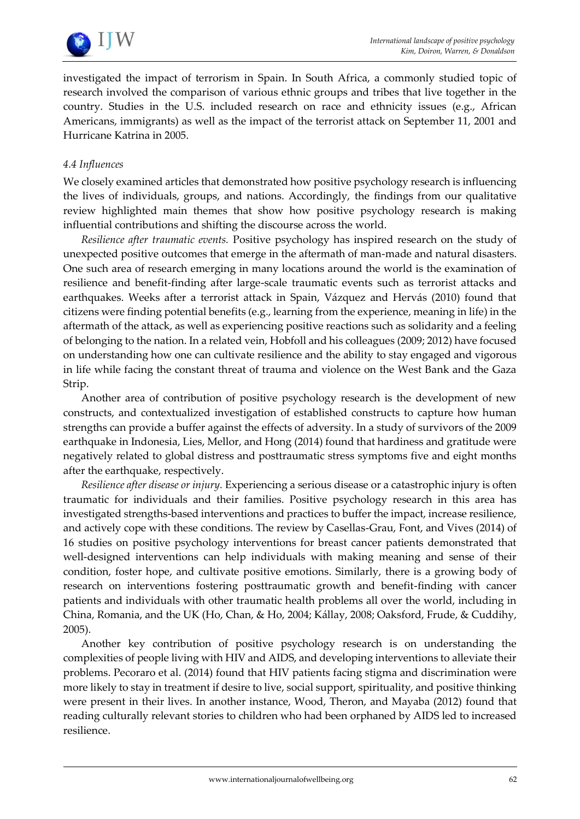

investigated the impact of terrorism in Spain. In South Africa, a commonly studied topic of research involved the comparison of various ethnic groups and tribes that live together in the country. Studies in the U.S. included research on race and ethnicity issues (e.g., African Americans, immigrants) as well as the impact of the terrorist attack on September 11, 2001 and Hurricane Katrina in 2005.

#### *4.4 Influences*

We closely examined articles that demonstrated how positive psychology research is influencing the lives of individuals, groups, and nations. Accordingly, the findings from our qualitative review highlighted main themes that show how positive psychology research is making influential contributions and shifting the discourse across the world.

*Resilience after traumatic events.* Positive psychology has inspired research on the study of unexpected positive outcomes that emerge in the aftermath of man-made and natural disasters. One such area of research emerging in many locations around the world is the examination of resilience and benefit-finding after large-scale traumatic events such as terrorist attacks and earthquakes. Weeks after a terrorist attack in Spain, Vázquez and Hervás (2010) found that citizens were finding potential benefits (e.g., learning from the experience, meaning in life) in the aftermath of the attack, as well as experiencing positive reactions such as solidarity and a feeling of belonging to the nation. In a related vein, Hobfoll and his colleagues (2009; 2012) have focused on understanding how one can cultivate resilience and the ability to stay engaged and vigorous in life while facing the constant threat of trauma and violence on the West Bank and the Gaza Strip.

Another area of contribution of positive psychology research is the development of new constructs, and contextualized investigation of established constructs to capture how human strengths can provide a buffer against the effects of adversity. In a study of survivors of the 2009 earthquake in Indonesia, Lies, Mellor, and Hong (2014) found that hardiness and gratitude were negatively related to global distress and posttraumatic stress symptoms five and eight months after the earthquake, respectively.

*Resilience after disease or injury.* Experiencing a serious disease or a catastrophic injury is often traumatic for individuals and their families. Positive psychology research in this area has investigated strengths-based interventions and practices to buffer the impact, increase resilience, and actively cope with these conditions. The review by Casellas-Grau, Font, and Vives (2014) of 16 studies on positive psychology interventions for breast cancer patients demonstrated that well-designed interventions can help individuals with making meaning and sense of their condition, foster hope, and cultivate positive emotions. Similarly, there is a growing body of research on interventions fostering posttraumatic growth and benefit-finding with cancer patients and individuals with other traumatic health problems all over the world, including in China, Romania, and the UK (Ho, Chan, & Ho, 2004; Kállay, 2008; Oaksford, Frude, & Cuddihy, 2005).

Another key contribution of positive psychology research is on understanding the complexities of people living with HIV and AIDS, and developing interventions to alleviate their problems. Pecoraro et al. (2014) found that HIV patients facing stigma and discrimination were more likely to stay in treatment if desire to live, social support, spirituality, and positive thinking were present in their lives. In another instance, Wood, Theron, and Mayaba (2012) found that reading culturally relevant stories to children who had been orphaned by AIDS led to increased resilience.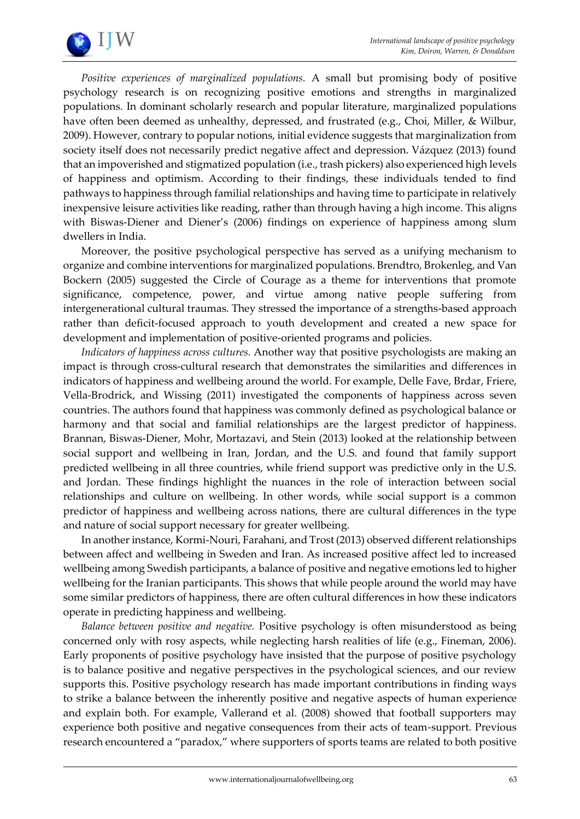

*Positive experiences of marginalized populations.* A small but promising body of positive psychology research is on recognizing positive emotions and strengths in marginalized populations. In dominant scholarly research and popular literature, marginalized populations have often been deemed as unhealthy, depressed, and frustrated (e.g., Choi, Miller, & Wilbur, 2009). However, contrary to popular notions, initial evidence suggests that marginalization from society itself does not necessarily predict negative affect and depression. Vázquez (2013) found that an impoverished and stigmatized population (i.e., trash pickers) also experienced high levels of happiness and optimism. According to their findings, these individuals tended to find pathways to happiness through familial relationships and having time to participate in relatively inexpensive leisure activities like reading, rather than through having a high income. This aligns with Biswas-Diener and Diener's (2006) findings on experience of happiness among slum dwellers in India.

Moreover, the positive psychological perspective has served as a unifying mechanism to organize and combine interventions for marginalized populations. Brendtro, Brokenleg, and Van Bockern (2005) suggested the Circle of Courage as a theme for interventions that promote significance, competence, power, and virtue among native people suffering from intergenerational cultural traumas. They stressed the importance of a strengths-based approach rather than deficit-focused approach to youth development and created a new space for development and implementation of positive-oriented programs and policies.

*Indicators of happiness across cultures.* Another way that positive psychologists are making an impact is through cross-cultural research that demonstrates the similarities and differences in indicators of happiness and wellbeing around the world. For example, Delle Fave, Brdar, Friere, Vella-Brodrick, and Wissing (2011) investigated the components of happiness across seven countries. The authors found that happiness was commonly defined as psychological balance or harmony and that social and familial relationships are the largest predictor of happiness. Brannan, Biswas-Diener, Mohr, Mortazavi, and Stein (2013) looked at the relationship between social support and wellbeing in Iran, Jordan, and the U.S. and found that family support predicted wellbeing in all three countries, while friend support was predictive only in the U.S. and Jordan. These findings highlight the nuances in the role of interaction between social relationships and culture on wellbeing. In other words, while social support is a common predictor of happiness and wellbeing across nations, there are cultural differences in the type and nature of social support necessary for greater wellbeing.

In another instance, Kormi-Nouri, Farahani, and Trost (2013) observed different relationships between affect and wellbeing in Sweden and Iran. As increased positive affect led to increased wellbeing among Swedish participants, a balance of positive and negative emotions led to higher wellbeing for the Iranian participants. This shows that while people around the world may have some similar predictors of happiness, there are often cultural differences in how these indicators operate in predicting happiness and wellbeing.

*Balance between positive and negative.* Positive psychology is often misunderstood as being concerned only with rosy aspects, while neglecting harsh realities of life (e.g., Fineman, 2006). Early proponents of positive psychology have insisted that the purpose of positive psychology is to balance positive and negative perspectives in the psychological sciences, and our review supports this. Positive psychology research has made important contributions in finding ways to strike a balance between the inherently positive and negative aspects of human experience and explain both. For example, Vallerand et al. (2008) showed that football supporters may experience both positive and negative consequences from their acts of team-support. Previous research encountered a "paradox," where supporters of sports teams are related to both positive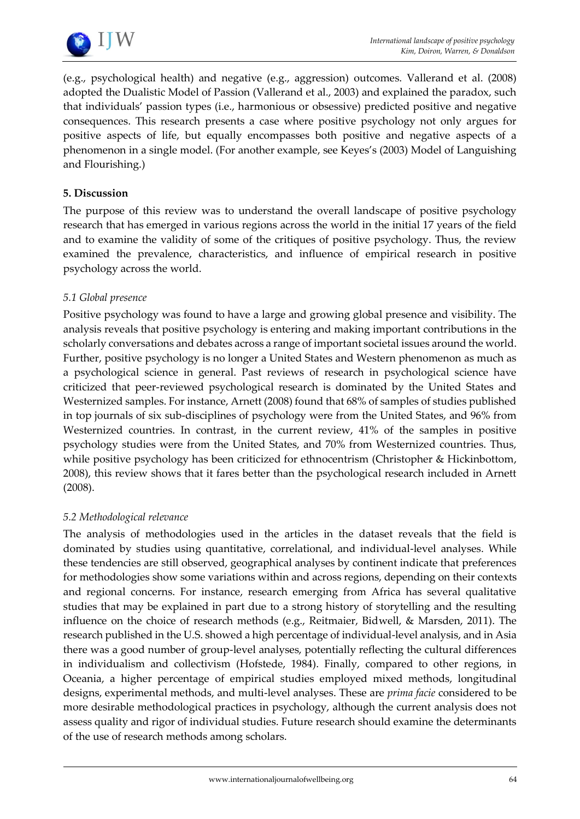

(e.g., psychological health) and negative (e.g., aggression) outcomes. Vallerand et al. (2008) adopted the Dualistic Model of Passion (Vallerand et al., 2003) and explained the paradox, such that individuals' passion types (i.e., harmonious or obsessive) predicted positive and negative consequences. This research presents a case where positive psychology not only argues for positive aspects of life, but equally encompasses both positive and negative aspects of a phenomenon in a single model. (For another example, see Keyes's (2003) Model of Languishing and Flourishing.)

#### **5. Discussion**

The purpose of this review was to understand the overall landscape of positive psychology research that has emerged in various regions across the world in the initial 17 years of the field and to examine the validity of some of the critiques of positive psychology. Thus, the review examined the prevalence, characteristics, and influence of empirical research in positive psychology across the world.

#### *5.1 Global presence*

Positive psychology was found to have a large and growing global presence and visibility. The analysis reveals that positive psychology is entering and making important contributions in the scholarly conversations and debates across a range of important societal issues around the world. Further, positive psychology is no longer a United States and Western phenomenon as much as a psychological science in general. Past reviews of research in psychological science have criticized that peer-reviewed psychological research is dominated by the United States and Westernized samples. For instance, Arnett (2008) found that 68% of samples of studies published in top journals of six sub-disciplines of psychology were from the United States, and 96% from Westernized countries. In contrast, in the current review, 41% of the samples in positive psychology studies were from the United States, and 70% from Westernized countries. Thus, while positive psychology has been criticized for ethnocentrism (Christopher & Hickinbottom, 2008), this review shows that it fares better than the psychological research included in Arnett (2008).

#### *5.2 Methodological relevance*

The analysis of methodologies used in the articles in the dataset reveals that the field is dominated by studies using quantitative, correlational, and individual-level analyses. While these tendencies are still observed, geographical analyses by continent indicate that preferences for methodologies show some variations within and across regions, depending on their contexts and regional concerns. For instance, research emerging from Africa has several qualitative studies that may be explained in part due to a strong history of storytelling and the resulting influence on the choice of research methods (e.g., Reitmaier, Bidwell, & Marsden, 2011). The research published in the U.S. showed a high percentage of individual-level analysis, and in Asia there was a good number of group-level analyses, potentially reflecting the cultural differences in individualism and collectivism (Hofstede, 1984). Finally, compared to other regions, in Oceania, a higher percentage of empirical studies employed mixed methods, longitudinal designs, experimental methods, and multi-level analyses. These are *prima facie* considered to be more desirable methodological practices in psychology, although the current analysis does not assess quality and rigor of individual studies. Future research should examine the determinants of the use of research methods among scholars.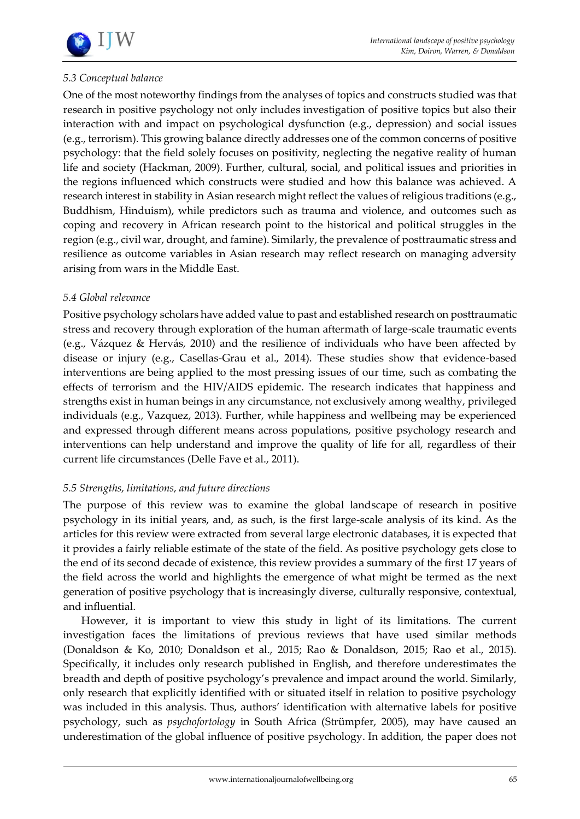## *5.3 Conceptual balance*

One of the most noteworthy findings from the analyses of topics and constructs studied was that research in positive psychology not only includes investigation of positive topics but also their interaction with and impact on psychological dysfunction (e.g., depression) and social issues (e.g., terrorism). This growing balance directly addresses one of the common concerns of positive psychology: that the field solely focuses on positivity, neglecting the negative reality of human life and society (Hackman, 2009). Further, cultural, social, and political issues and priorities in the regions influenced which constructs were studied and how this balance was achieved. A research interest in stability in Asian research might reflect the values of religious traditions (e.g., Buddhism, Hinduism), while predictors such as trauma and violence, and outcomes such as coping and recovery in African research point to the historical and political struggles in the region (e.g., civil war, drought, and famine). Similarly, the prevalence of posttraumatic stress and resilience as outcome variables in Asian research may reflect research on managing adversity arising from wars in the Middle East.

#### *5.4 Global relevance*

Positive psychology scholars have added value to past and established research on posttraumatic stress and recovery through exploration of the human aftermath of large-scale traumatic events (e.g., Vázquez & Hervás, 2010) and the resilience of individuals who have been affected by disease or injury (e.g., Casellas-Grau et al., 2014). These studies show that evidence-based interventions are being applied to the most pressing issues of our time, such as combating the effects of terrorism and the HIV/AIDS epidemic. The research indicates that happiness and strengths exist in human beings in any circumstance, not exclusively among wealthy, privileged individuals (e.g., Vazquez, 2013). Further, while happiness and wellbeing may be experienced and expressed through different means across populations, positive psychology research and interventions can help understand and improve the quality of life for all, regardless of their current life circumstances (Delle Fave et al., 2011).

#### *5.5 Strengths, limitations, and future directions*

The purpose of this review was to examine the global landscape of research in positive psychology in its initial years, and, as such, is the first large-scale analysis of its kind. As the articles for this review were extracted from several large electronic databases, it is expected that it provides a fairly reliable estimate of the state of the field. As positive psychology gets close to the end of its second decade of existence, this review provides a summary of the first 17 years of the field across the world and highlights the emergence of what might be termed as the next generation of positive psychology that is increasingly diverse, culturally responsive, contextual, and influential.

However, it is important to view this study in light of its limitations. The current investigation faces the limitations of previous reviews that have used similar methods (Donaldson & Ko, 2010; Donaldson et al., 2015; Rao & Donaldson, 2015; Rao et al., 2015). Specifically, it includes only research published in English, and therefore underestimates the breadth and depth of positive psychology's prevalence and impact around the world. Similarly, only research that explicitly identified with or situated itself in relation to positive psychology was included in this analysis. Thus, authors' identification with alternative labels for positive psychology, such as *psychofortology* in South Africa (Strümpfer, 2005), may have caused an underestimation of the global influence of positive psychology. In addition, the paper does not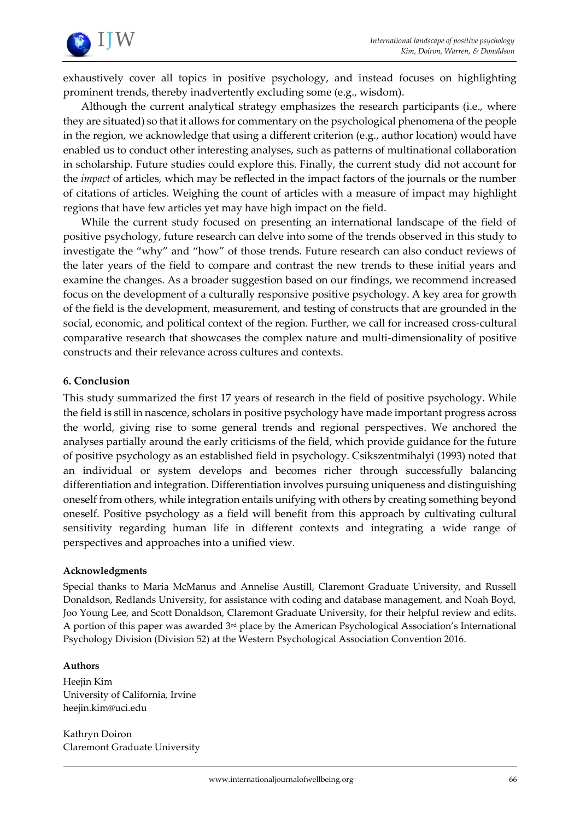

exhaustively cover all topics in positive psychology, and instead focuses on highlighting prominent trends, thereby inadvertently excluding some (e.g., wisdom).

Although the current analytical strategy emphasizes the research participants (i.e., where they are situated) so that it allows for commentary on the psychological phenomena of the people in the region, we acknowledge that using a different criterion (e.g., author location) would have enabled us to conduct other interesting analyses, such as patterns of multinational collaboration in scholarship. Future studies could explore this. Finally, the current study did not account for the *impact* of articles, which may be reflected in the impact factors of the journals or the number of citations of articles. Weighing the count of articles with a measure of impact may highlight regions that have few articles yet may have high impact on the field.

While the current study focused on presenting an international landscape of the field of positive psychology, future research can delve into some of the trends observed in this study to investigate the "why" and "how" of those trends. Future research can also conduct reviews of the later years of the field to compare and contrast the new trends to these initial years and examine the changes. As a broader suggestion based on our findings, we recommend increased focus on the development of a culturally responsive positive psychology. A key area for growth of the field is the development, measurement, and testing of constructs that are grounded in the social, economic, and political context of the region. Further, we call for increased cross-cultural comparative research that showcases the complex nature and multi-dimensionality of positive constructs and their relevance across cultures and contexts.

#### **6. Conclusion**

This study summarized the first 17 years of research in the field of positive psychology. While the field is still in nascence, scholars in positive psychology have made important progress across the world, giving rise to some general trends and regional perspectives. We anchored the analyses partially around the early criticisms of the field, which provide guidance for the future of positive psychology as an established field in psychology. Csikszentmihalyi (1993) noted that an individual or system develops and becomes richer through successfully balancing differentiation and integration. Differentiation involves pursuing uniqueness and distinguishing oneself from others, while integration entails unifying with others by creating something beyond oneself. Positive psychology as a field will benefit from this approach by cultivating cultural sensitivity regarding human life in different contexts and integrating a wide range of perspectives and approaches into a unified view.

#### **Acknowledgments**

Special thanks to Maria McManus and Annelise Austill, Claremont Graduate University, and Russell Donaldson, Redlands University, for assistance with coding and database management, and Noah Boyd, Joo Young Lee, and Scott Donaldson, Claremont Graduate University, for their helpful review and edits. A portion of this paper was awarded  $3<sup>rd</sup>$  place by the American Psychological Association's International Psychology Division (Division 52) at the Western Psychological Association Convention 2016.

#### **Authors**

Heejin Kim University of California, Irvine heejin.kim@uci.edu

Kathryn Doiron Claremont Graduate University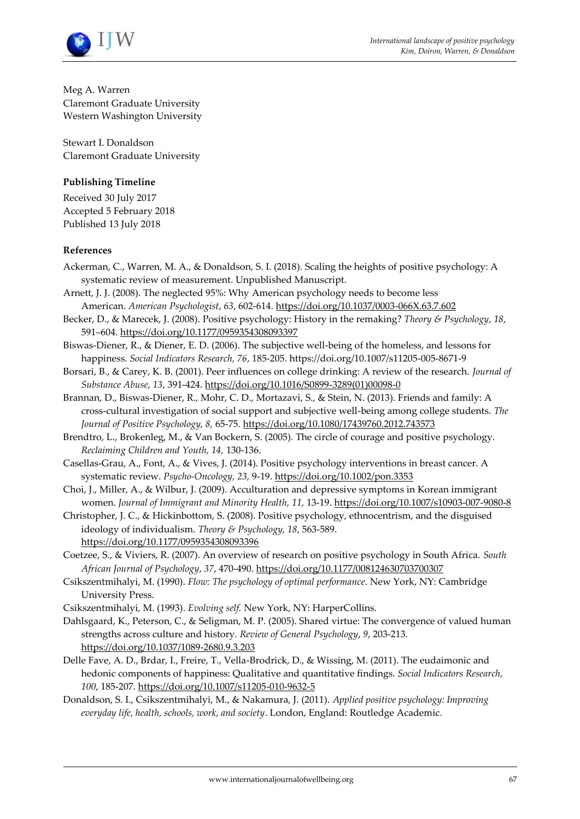

Meg A. Warren Claremont Graduate University Western Washington University

Stewart I. Donaldson Claremont Graduate University

#### **Publishing Timeline**

Received 30 July 2017 Accepted 5 February 2018 Published 13 July 2018

#### **References**

- Ackerman, C., Warren, M. A., & Donaldson, S. I. (2018). Scaling the heights of positive psychology: A systematic review of measurement. Unpublished Manuscript.
- Arnett, J. J. (2008). The neglected 95%: Why American psychology needs to become less American. *American Psychologist*, *63*, 602-614.<https://doi.org/10.1037/0003-066X.63.7.602>
- Becker, D., & Marecek, J. (2008). Positive psychology: History in the remaking? *Theory & Psychology*, *18*, 591–604[. https://doi.org/10.1177/0959354308093397](https://doi.org/10.1177/0959354308093397)

Biswas-Diener, R., & Diener, E. D. (2006). The subjective well-being of the homeless, and lessons for happiness. *Social Indicators Research, 76*, 185-205. <https://doi.org/10.1007/s11205-005-8671-9>

Borsari, B., & Carey, K. B. (2001). Peer influences on college drinking: A review of the research. *Journal of Substance Abuse*, *13*, 391-424. [https://doi.org/10.1016/S0899-3289\(01\)00098-0](https://doi.org/10.1016/S0899-3289(01)00098-0)

Brannan, D., Biswas-Diener, R., Mohr, C. D., Mortazavi, S., & Stein, N. (2013). Friends and family: A cross-cultural investigation of social support and subjective well-being among college students. *The Journal of Positive Psychology, 8,* 65-75.<https://doi.org/10.1080/17439760.2012.743573>

Brendtro, L., Brokenleg, M., & Van Bockern, S. (2005). The circle of courage and positive psychology. *Reclaiming Children and Youth, 14,* 130-136.

Casellas‐Grau, A., Font, A., & Vives, J. (2014). Positive psychology interventions in breast cancer. A systematic review. *Psycho‐Oncology, 23,* 9-19.<https://doi.org/10.1002/pon.3353>

Choi, J., Miller, A., & Wilbur, J. (2009). Acculturation and depressive symptoms in Korean immigrant women. *Journal of Immigrant and Minority Health, 11,* 13-19.<https://doi.org/10.1007/s10903-007-9080-8>

Christopher, J. C., & Hickinbottom, S. (2008). Positive psychology, ethnocentrism, and the disguised ideology of individualism. *Theory & Psychology, 18*, 563-589. <https://doi.org/10.1177/0959354308093396>

Coetzee, S., & Viviers, R. (2007). An overview of research on positive psychology in South Africa. *South African Journal of Psychology*, *37*, 470-490.<https://doi.org/10.1177/008124630703700307>

Csikszentmihalyi, M. (1990). *Flow: The psychology of optimal performance*. New York, NY: Cambridge University Press.

Csikszentmihalyi, M. (1993). *Evolving self.* New York, NY: HarperCollins.

Dahlsgaard, K., Peterson, C., & Seligman, M. P. (2005). Shared virtue: The convergence of valued human strengths across culture and history. *Review of General Psychology*, *9*, 203-213. <https://doi.org/10.1037/1089-2680.9.3.203>

- Delle Fave, A. D., Brdar, I., Freire, T., Vella-Brodrick, D., & Wissing, M. (2011). The eudaimonic and hedonic components of happiness: Qualitative and quantitative findings. *Social Indicators Research, 100*, 185-207[. https://doi.org/10.1007/s11205-010-9632-5](https://doi.org/10.1007/s11205-010-9632-5)
- Donaldson, S. I., Csikszentmihalyi, M., & Nakamura, J. (2011). *Applied positive psychology: Improving everyday life, health, schools, work, and society*. London, England: Routledge Academic.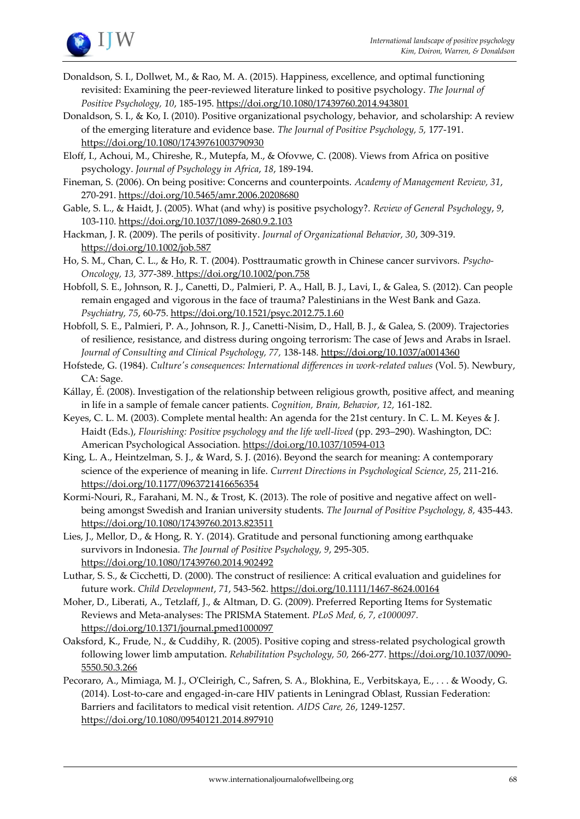

- Donaldson, S. I., Dollwet, M., & Rao, M. A. (2015). Happiness, excellence, and optimal functioning revisited: Examining the peer-reviewed literature linked to positive psychology. *The Journal of Positive Psychology, 10*, 185-195.<https://doi.org/10.1080/17439760.2014.943801>
- Donaldson, S. I., & Ko, I. (2010). Positive organizational psychology, behavior, and scholarship: A review of the emerging literature and evidence base. *The Journal of Positive Psychology, 5,* 177-191. <https://doi.org/10.1080/17439761003790930>

Eloff, I., Achoui, M., Chireshe, R., Mutepfa, M., & Ofovwe, C. (2008). Views from Africa on positive psychology. *Journal of Psychology in Africa*, *18*, 189-194.

- Fineman, S. (2006). On being positive: Concerns and counterpoints. *Academy of Management Review, 31*, 270-291[. https://doi.org/10.5465/amr.2006.20208680](https://doi.org/10.5465/amr.2006.20208680)
- Gable, S. L., & Haidt, J. (2005). What (and why) is positive psychology?. *Review of General Psychology*, *9*, 103-110[. https://doi.org/10.1037/1089-2680.9.2.103](https://doi.org/10.1037/1089-2680.9.2.103)

Hackman, J. R. (2009). The perils of positivity. *Journal of Organizational Behavior, 30*, 309-319. <https://doi.org/10.1002/job.587>

Ho, S. M., Chan, C. L., & Ho, R. T. (2004). Posttraumatic growth in Chinese cancer survivors. *Psycho‐ Oncology, 13,* 377-389. <https://doi.org/10.1002/pon.758>

Hobfoll, S. E., Johnson, R. J., Canetti, D., Palmieri, P. A., Hall, B. J., Lavi, I., & Galea, S. (2012). Can people remain engaged and vigorous in the face of trauma? Palestinians in the West Bank and Gaza. *Psychiatry, 75*, 60-75.<https://doi.org/10.1521/psyc.2012.75.1.60>

Hobfoll, S. E., Palmieri, P. A., Johnson, R. J., Canetti-Nisim, D., Hall, B. J., & Galea, S. (2009). Trajectories of resilience, resistance, and distress during ongoing terrorism: The case of Jews and Arabs in Israel. *Journal of Consulting and Clinical Psychology, 77,* 138-148[. https://doi.org/10.1037/a0014360](https://doi.org/10.1037/a0014360)

Hofstede, G. (1984). *Culture's consequences: International differences in work-related values* (Vol. 5). Newbury, CA: Sage.

- Kállay, É. (2008). Investigation of the relationship between religious growth, positive affect, and meaning in life in a sample of female cancer patients. *Cognition, Brain, Behavior, 12,* 161-182.
- Keyes, C. L. M. (2003). Complete mental health: An agenda for the 21st century. In C. L. M. Keyes & J. Haidt (Eds.), *Flourishing: Positive psychology and the life well-lived* (pp. 293–290). Washington, DC: American Psychological Association. <https://doi.org/10.1037/10594-013>

King, L. A., Heintzelman, S. J., & Ward, S. J. (2016). Beyond the search for meaning: A contemporary science of the experience of meaning in life. *Current Directions in Psychological Science*, *25*, 211-216. <https://doi.org/10.1177/0963721416656354>

Kormi-Nouri, R., Farahani, M. N., & Trost, K. (2013). The role of positive and negative affect on wellbeing amongst Swedish and Iranian university students. *The Journal of Positive Psychology, 8,* 435-443. <https://doi.org/10.1080/17439760.2013.823511>

Lies, J., Mellor, D., & Hong, R. Y. (2014). Gratitude and personal functioning among earthquake survivors in Indonesia. *The Journal of Positive Psychology, 9*, 295-305. <https://doi.org/10.1080/17439760.2014.902492>

Luthar, S. S., & Cicchetti, D. (2000). The construct of resilience: A critical evaluation and guidelines for future work. *Child Development*, *71*, 543-562.<https://doi.org/10.1111/1467-8624.00164>

- Moher, D., Liberati, A., Tetzlaff, J., & Altman, D. G. (2009). Preferred Reporting Items for Systematic Reviews and Meta-analyses: The PRISMA Statement. *PLoS Med, 6, 7, e1000097.*  <https://doi.org/10.1371/journal.pmed1000097>
- Oaksford, K., Frude, N., & Cuddihy, R. (2005). Positive coping and stress-related psychological growth following lower limb amputation. *Rehabilitation Psychology, 50,* 266-277. [https://doi.org/10.1037/0090-](https://doi.org/10.1037/0090-5550.50.3.266) [5550.50.3.266](https://doi.org/10.1037/0090-5550.50.3.266)
- Pecoraro, A., Mimiaga, M. J., O'Cleirigh, C., Safren, S. A., Blokhina, E., Verbitskaya, E., . . . & Woody, G. (2014). Lost-to-care and engaged-in-care HIV patients in Leningrad Oblast, Russian Federation: Barriers and facilitators to medical visit retention. *AIDS Care, 26*, 1249-1257. <https://doi.org/10.1080/09540121.2014.897910>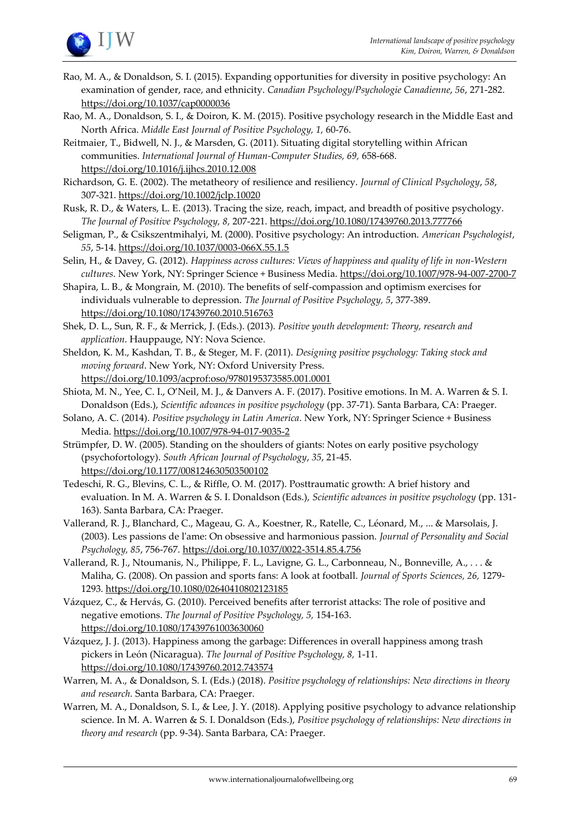

- Rao, M. A., & Donaldson, S. I. (2015). Expanding opportunities for diversity in positive psychology: An examination of gender, race, and ethnicity. *Canadian Psychology/Psychologie Canadienne*, *56*, 271-282. <https://doi.org/10.1037/cap0000036>
- Rao, M. A., Donaldson, S. I., & Doiron, K. M. (2015). Positive psychology research in the Middle East and North Africa. *Middle East Journal of Positive Psychology, 1,* 60-76.
- Reitmaier, T., Bidwell, N. J., & Marsden, G. (2011). Situating digital storytelling within African communities. *International Journal of Human-Computer Studies, 69,* 658-668. <https://doi.org/10.1016/j.ijhcs.2010.12.008>
- Richardson, G. E. (2002). The metatheory of resilience and resiliency. *Journal of Clinical Psychology*, *58*, 307-321[. https://doi.org/10.1002/jclp.10020](https://doi.org/10.1002/jclp.10020)
- Rusk, R. D., & Waters, L. E. (2013). Tracing the size, reach, impact, and breadth of positive psychology. *The Journal of Positive Psychology, 8,* 207-221.<https://doi.org/10.1080/17439760.2013.777766>
- Seligman, P., & Csikszentmihalyi, M. (2000). Positive psychology: An introduction. *American Psychologist*, *55*, 5-14[. https://doi.org/10.1037/0003-066X.55.1.5](https://doi.org/10.1037/0003-066X.55.1.5)
- Selin, H., & Davey, G. (2012). *Happiness across cultures: Views of happiness and quality of life in non-Western cultures*. New York, NY: Springer Science + Business Media. <https://doi.org/10.1007/978-94-007-2700-7>
- Shapira, L. B., & Mongrain, M. (2010). The benefits of self-compassion and optimism exercises for individuals vulnerable to depression. *The Journal of Positive Psychology, 5*, 377-389. <https://doi.org/10.1080/17439760.2010.516763>
- Shek, D. L., Sun, R. F., & Merrick, J. (Eds.). (2013). *Positive youth development: Theory, research and application*. Hauppauge, NY: Nova Science.
- Sheldon, K. M., Kashdan, T. B., & Steger, M. F. (2011). *Designing positive psychology: Taking stock and moving forward*. New York, NY: Oxford University Press. <https://doi.org/10.1093/acprof:oso/9780195373585.001.0001>
- Shiota, M. N., Yee, C. I., O'Neil, M. J., & Danvers A. F. (2017). Positive emotions. In M. A. Warren & S. I. Donaldson (Eds.), *Scientific advances in positive psychology* (pp. 37-71)*.* Santa Barbara, CA: Praeger.
- Solano, A. C. (2014). *Positive psychology in Latin America*. New York, NY: Springer Science + Business Media[. https://doi.org/10.1007/978-94-017-9035-2](https://doi.org/10.1007/978-94-017-9035-2)
- Strümpfer, D. W. (2005). Standing on the shoulders of giants: Notes on early positive psychology (psychofortology). *South African Journal of Psychology*, *35*, 21-45. <https://doi.org/10.1177/008124630503500102>
- Tedeschi, R. G., Blevins, C. L., & Riffle, O. M. (2017). Posttraumatic growth: A brief history and evaluation. In M. A. Warren & S. I. Donaldson (Eds.), *Scientific advances in positive psychology* (pp. 131- 163). Santa Barbara, CA: Praeger.
- Vallerand, R. J., Blanchard, C., Mageau, G. A., Koestner, R., Ratelle, C., Léonard, M., ... & Marsolais, J. (2003). Les passions de l'ame: On obsessive and harmonious passion. *Journal of Personality and Social Psychology, 85*, 756-767[. https://doi.org/10.1037/0022-3514.85.4.756](https://doi.org/10.1037/0022-3514.85.4.756)
- Vallerand, R. J., Ntoumanis, N., Philippe, F. L., Lavigne, G. L., Carbonneau, N., Bonneville, A., . . . & Maliha, G. (2008). On passion and sports fans: A look at football. *Journal of Sports Sciences, 26,* 1279- 1293[. https://doi.org/10.1080/02640410802123185](https://doi.org/10.1080/02640410802123185)
- Vázquez, C., & Hervás, G. (2010). Perceived benefits after terrorist attacks: The role of positive and negative emotions. *The Journal of Positive Psychology, 5,* 154-163. <https://doi.org/10.1080/17439761003630060>
- Vázquez, J. J. (2013). Happiness among the garbage: Differences in overall happiness among trash pickers in León (Nicaragua). *The Journal of Positive Psychology, 8,* 1-11. <https://doi.org/10.1080/17439760.2012.743574>
- Warren, M. A., & Donaldson, S. I. (Eds.) (2018). *Positive psychology of relationships: New directions in theory and research.* Santa Barbara, CA: Praeger.
- Warren, M. A., Donaldson, S. I., & Lee, J. Y. (2018). Applying positive psychology to advance relationship science. In M. A. Warren & S. I. Donaldson (Eds.), *Positive psychology of relationships: New directions in theory and research* (pp. 9-34). Santa Barbara, CA: Praeger.